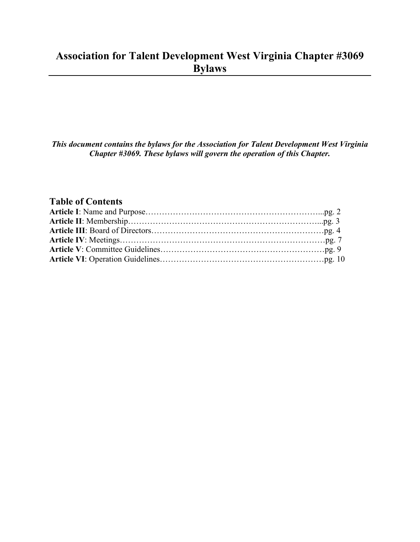# **Association for Talent Development West Virginia Chapter #3069 Bylaws**

*This document contains the bylaws for the Association for Talent Development West Virginia Chapter #3069. These bylaws will govern the operation of this Chapter.* 

# **Table of Contents**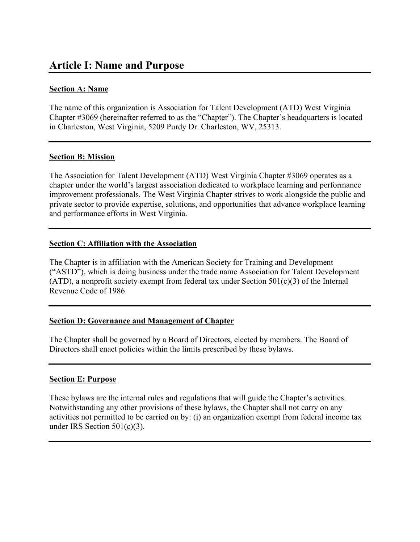# **Article I: Name and Purpose**

### **Section A: Name**

The name of this organization is Association for Talent Development (ATD) West Virginia Chapter #3069 (hereinafter referred to as the "Chapter"). The Chapter's headquarters is located in Charleston, West Virginia, 5209 Purdy Dr. Charleston, WV, 25313.

### **Section B: Mission**

The Association for Talent Development (ATD) West Virginia Chapter #3069 operates as a chapter under the world's largest association dedicated to workplace learning and performance improvement professionals. The West Virginia Chapter strives to work alongside the public and private sector to provide expertise, solutions, and opportunities that advance workplace learning and performance efforts in West Virginia.

#### **Section C: Affiliation with the Association**

The Chapter is in affiliation with the American Society for Training and Development ("ASTD"), which is doing business under the trade name Association for Talent Development (ATD), a nonprofit society exempt from federal tax under Section  $501(c)(3)$  of the Internal Revenue Code of 1986.

# **Section D: Governance and Management of Chapter**

The Chapter shall be governed by a Board of Directors, elected by members. The Board of Directors shall enact policies within the limits prescribed by these bylaws.

#### **Section E: Purpose**

These bylaws are the internal rules and regulations that will guide the Chapter's activities. Notwithstanding any other provisions of these bylaws, the Chapter shall not carry on any activities not permitted to be carried on by: (i) an organization exempt from federal income tax under IRS Section 501(c)(3).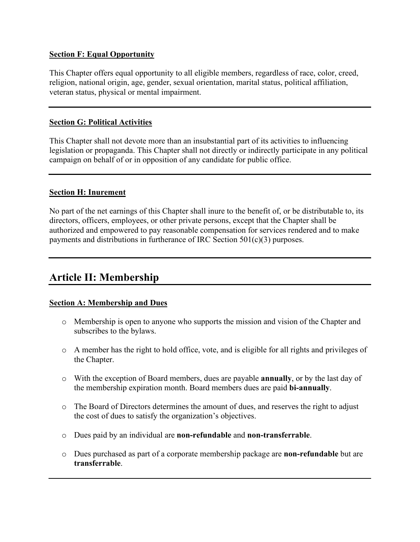### **Section F: Equal Opportunity**

This Chapter offers equal opportunity to all eligible members, regardless of race, color, creed, religion, national origin, age, gender, sexual orientation, marital status, political affiliation, veteran status, physical or mental impairment.

### **Section G: Political Activities**

This Chapter shall not devote more than an insubstantial part of its activities to influencing legislation or propaganda. This Chapter shall not directly or indirectly participate in any political campaign on behalf of or in opposition of any candidate for public office.

### **Section H: Inurement**

No part of the net earnings of this Chapter shall inure to the benefit of, or be distributable to, its directors, officers, employees, or other private persons, except that the Chapter shall be authorized and empowered to pay reasonable compensation for services rendered and to make payments and distributions in furtherance of IRC Section 501(c)(3) purposes.

# **Article II: Membership**

# **Section A: Membership and Dues**

- o Membership is open to anyone who supports the mission and vision of the Chapter and subscribes to the bylaws.
- o A member has the right to hold office, vote, and is eligible for all rights and privileges of the Chapter.
- o With the exception of Board members, dues are payable **annually**, or by the last day of the membership expiration month. Board members dues are paid **bi-annually**.
- o The Board of Directors determines the amount of dues, and reserves the right to adjust the cost of dues to satisfy the organization's objectives.
- o Dues paid by an individual are **non-refundable** and **non-transferrable**.
- o Dues purchased as part of a corporate membership package are **non-refundable** but are **transferrable**.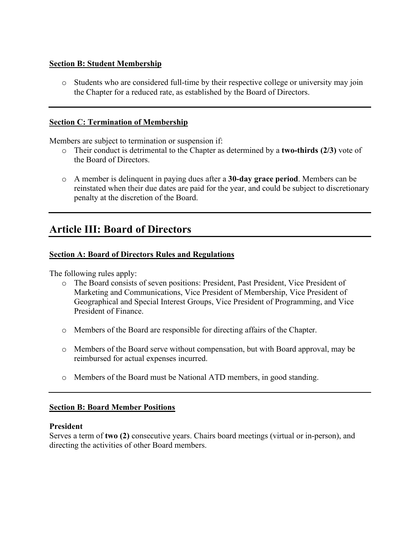### **Section B: Student Membership**

o Students who are considered full-time by their respective college or university may join the Chapter for a reduced rate, as established by the Board of Directors.

#### **Section C: Termination of Membership**

Members are subject to termination or suspension if:

- o Their conduct is detrimental to the Chapter as determined by a **two-thirds (2/3)** vote of the Board of Directors.
- o A member is delinquent in paying dues after a **30-day grace period**. Members can be reinstated when their due dates are paid for the year, and could be subject to discretionary penalty at the discretion of the Board.

# **Article III: Board of Directors**

# **Section A: Board of Directors Rules and Regulations**

The following rules apply:

- o The Board consists of seven positions: President, Past President, Vice President of Marketing and Communications, Vice President of Membership, Vice President of Geographical and Special Interest Groups, Vice President of Programming, and Vice President of Finance.
- o Members of the Board are responsible for directing affairs of the Chapter.
- o Members of the Board serve without compensation, but with Board approval, may be reimbursed for actual expenses incurred.
- o Members of the Board must be National ATD members, in good standing.

#### **Section B: Board Member Positions**

### **President**

Serves a term of **two (2)** consecutive years. Chairs board meetings (virtual or in-person), and directing the activities of other Board members.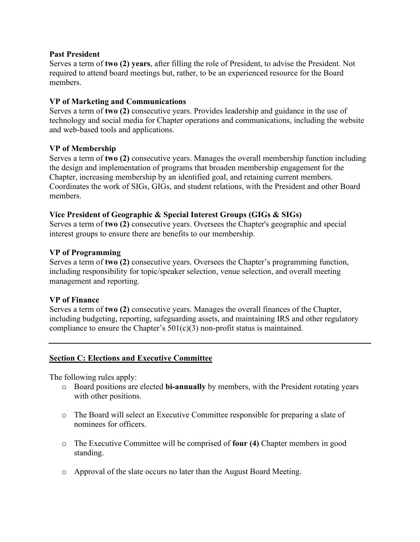#### **Past President**

Serves a term of **two (2) years**, after filling the role of President, to advise the President. Not required to attend board meetings but, rather, to be an experienced resource for the Board members.

# **VP of Marketing and Communications**

Serves a term of **two (2)** consecutive years. Provides leadership and guidance in the use of technology and social media for Chapter operations and communications, including the website and web-based tools and applications.

### **VP of Membership**

Serves a term of **two (2)** consecutive years. Manages the overall membership function including the design and implementation of programs that broaden membership engagement for the Chapter, increasing membership by an identified goal, and retaining current members. Coordinates the work of SIGs, GIGs, and student relations, with the President and other Board members.

### **Vice President of Geographic & Special Interest Groups (GIGs & SIGs)**

Serves a term of **two (2)** consecutive years. Oversees the Chapter's geographic and special interest groups to ensure there are benefits to our membership.

### **VP of Programming**

Serves a term of **two (2)** consecutive years. Oversees the Chapter's programming function, including responsibility for topic/speaker selection, venue selection, and overall meeting management and reporting.

#### **VP of Finance**

Serves a term of **two (2)** consecutive years. Manages the overall finances of the Chapter, including budgeting, reporting, safeguarding assets, and maintaining IRS and other regulatory compliance to ensure the Chapter's  $501(c)(3)$  non-profit status is maintained.

# **Section C: Elections and Executive Committee**

The following rules apply:

- o Board positions are elected **bi-annually** by members, with the President rotating years with other positions.
- o The Board will select an Executive Committee responsible for preparing a slate of nominees for officers.
- o The Executive Committee will be comprised of **four (4)** Chapter members in good standing.
- o Approval of the slate occurs no later than the August Board Meeting.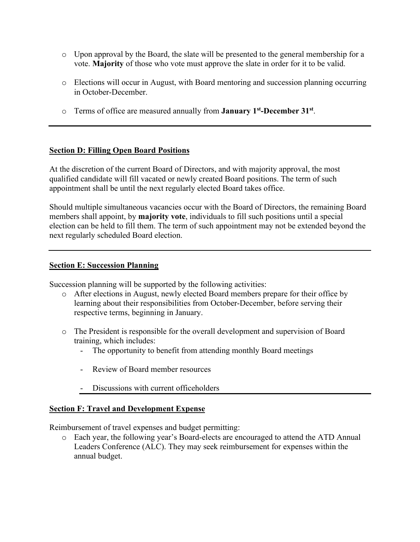- o Upon approval by the Board, the slate will be presented to the general membership for a vote. **Majority** of those who vote must approve the slate in order for it to be valid.
- o Elections will occur in August, with Board mentoring and succession planning occurring in October-December.
- o Terms of office are measured annually from **January 1st-December 31st**.

# **Section D: Filling Open Board Positions**

At the discretion of the current Board of Directors, and with majority approval, the most qualified candidate will fill vacated or newly created Board positions. The term of such appointment shall be until the next regularly elected Board takes office.

Should multiple simultaneous vacancies occur with the Board of Directors, the remaining Board members shall appoint, by **majority vote**, individuals to fill such positions until a special election can be held to fill them. The term of such appointment may not be extended beyond the next regularly scheduled Board election.

### **Section E: Succession Planning**

Succession planning will be supported by the following activities:

- o After elections in August, newly elected Board members prepare for their office by learning about their responsibilities from October-December, before serving their respective terms, beginning in January.
- o The President is responsible for the overall development and supervision of Board training, which includes:
	- The opportunity to benefit from attending monthly Board meetings
	- Review of Board member resources
	- Discussions with current officeholders

# **Section F: Travel and Development Expense**

Reimbursement of travel expenses and budget permitting:

o Each year, the following year's Board-elects are encouraged to attend the ATD Annual Leaders Conference (ALC). They may seek reimbursement for expenses within the annual budget.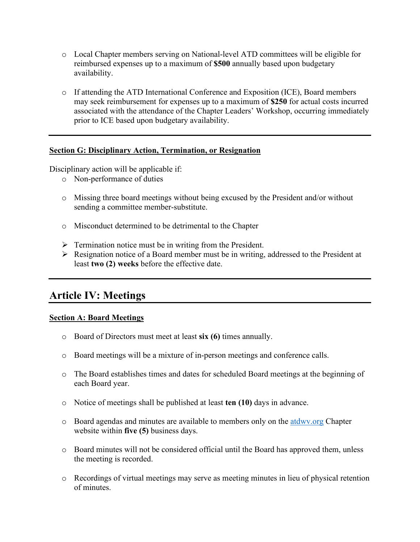- o Local Chapter members serving on National-level ATD committees will be eligible for reimbursed expenses up to a maximum of **\$500** annually based upon budgetary availability.
- o If attending the ATD International Conference and Exposition (ICE), Board members may seek reimbursement for expenses up to a maximum of **\$250** for actual costs incurred associated with the attendance of the Chapter Leaders' Workshop, occurring immediately prior to ICE based upon budgetary availability.

### **Section G: Disciplinary Action, Termination, or Resignation**

Disciplinary action will be applicable if:

- o Non-performance of duties
- o Missing three board meetings without being excused by the President and/or without sending a committee member-substitute.
- o Misconduct determined to be detrimental to the Chapter
- $\triangleright$  Termination notice must be in writing from the President.
- $\triangleright$  Resignation notice of a Board member must be in writing, addressed to the President at least **two (2) weeks** before the effective date.

# **Article IV: Meetings**

#### **Section A: Board Meetings**

- o Board of Directors must meet at least **six (6)** times annually.
- o Board meetings will be a mixture of in-person meetings and conference calls.
- o The Board establishes times and dates for scheduled Board meetings at the beginning of each Board year.
- o Notice of meetings shall be published at least **ten (10)** days in advance.
- o Board agendas and minutes are available to members only on the [atdwv.org](http://www.atdwv.org/) Chapter website within **five (5)** business days.
- o Board minutes will not be considered official until the Board has approved them, unless the meeting is recorded.
- o Recordings of virtual meetings may serve as meeting minutes in lieu of physical retention of minutes.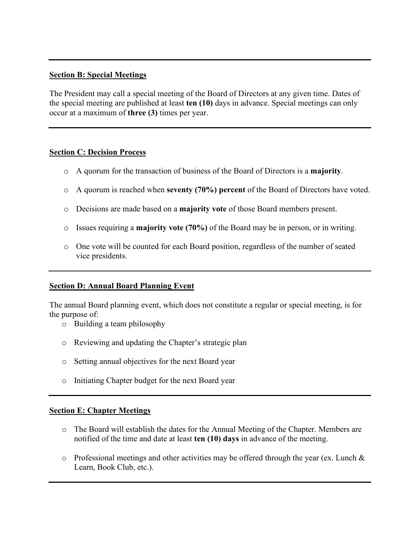#### **Section B: Special Meetings**

The President may call a special meeting of the Board of Directors at any given time. Dates of the special meeting are published at least **ten (10)** days in advance. Special meetings can only occur at a maximum of **three (3)** times per year.

#### **Section C: Decision Process**

- o A quorum for the transaction of business of the Board of Directors is a **majority**.
- o A quorum is reached when **seventy (70%) percent** of the Board of Directors have voted.
- o Decisions are made based on a **majority vote** of those Board members present.
- o Issues requiring a **majority vote (70%)** of the Board may be in person, or in writing.
- o One vote will be counted for each Board position, regardless of the number of seated vice presidents.

# **Section D: Annual Board Planning Event**

The annual Board planning event, which does not constitute a regular or special meeting, is for the purpose of:

- o Building a team philosophy
- o Reviewing and updating the Chapter's strategic plan
- o Setting annual objectives for the next Board year
- o Initiating Chapter budget for the next Board year

#### **Section E: Chapter Meetings**

- o The Board will establish the dates for the Annual Meeting of the Chapter. Members are notified of the time and date at least **ten (10) days** in advance of the meeting.
- $\circ$  Professional meetings and other activities may be offered through the year (ex. Lunch & Learn, Book Club, etc.).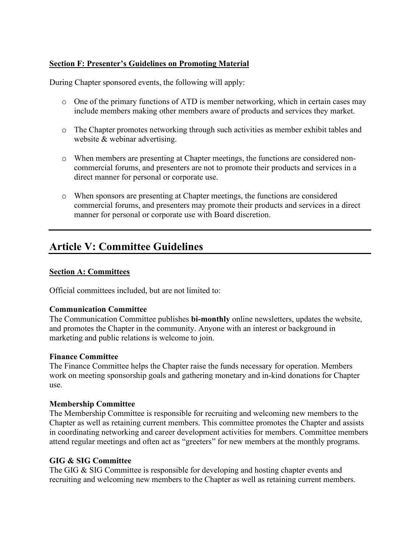# **Section F: Presenter's Guidelines on Promoting Material**

During Chapter sponsored events, the following will apply:

- o One of the primary functions of ATD is member networking, which in certain cases may include members making other members aware of products and services they market.
- o The Chapter promotes networking through such activities as member exhibit tables and website & webinar advertising.
- o When members are presenting at Chapter meetings, the functions are considered noncommercial forums, and presenters are not to promote their products and services in a direct manner for personal or corporate use.
- o When sponsors are presenting at Chapter meetings, the functions are considered commercial forums, and presenters may promote their products and services in a direct manner for personal or corporate use with Board discretion.

# **Article V: Committee Guidelines**

### **Section A: Committees**

Official committees included, but are not limited to:

#### **Communication Committee**

The Communication Committee publishes **bi-monthly** online newsletters, updates the website, and promotes the Chapter in the community. Anyone with an interest or background in marketing and public relations is welcome to join.

#### **Finance Committee**

The Finance Committee helps the Chapter raise the funds necessary for operation. Members work on meeting sponsorship goals and gathering monetary and in-kind donations for Chapter use.

#### **Membership Committee**

The Membership Committee is responsible for recruiting and welcoming new members to the Chapter as well as retaining current members. This committee promotes the Chapter and assists in coordinating networking and career development activities for members. Committee members attend regular meetings and often act as "greeters" for new members at the monthly programs.

#### **GIG & SIG Committee**

The GIG & SIG Committee is responsible for developing and hosting chapter events and recruiting and welcoming new members to the Chapter as well as retaining current members.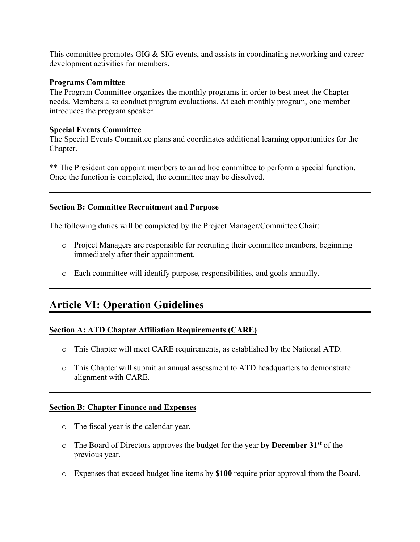This committee promotes GIG & SIG events, and assists in coordinating networking and career development activities for members.

#### **Programs Committee**

The Program Committee organizes the monthly programs in order to best meet the Chapter needs. Members also conduct program evaluations. At each monthly program, one member introduces the program speaker.

### **Special Events Committee**

The Special Events Committee plans and coordinates additional learning opportunities for the Chapter.

\*\* The President can appoint members to an ad hoc committee to perform a special function. Once the function is completed, the committee may be dissolved.

### **Section B: Committee Recruitment and Purpose**

The following duties will be completed by the Project Manager/Committee Chair:

- o Project Managers are responsible for recruiting their committee members, beginning immediately after their appointment.
- o Each committee will identify purpose, responsibilities, and goals annually.

# **Article VI: Operation Guidelines**

# **Section A: ATD Chapter Affiliation Requirements (CARE)**

- o This Chapter will meet CARE requirements, as established by the National ATD.
- o This Chapter will submit an annual assessment to ATD headquarters to demonstrate alignment with CARE.

#### **Section B: Chapter Finance and Expenses**

- o The fiscal year is the calendar year.
- o The Board of Directors approves the budget for the year **by December 31st** of the previous year.
- o Expenses that exceed budget line items by **\$100** require prior approval from the Board.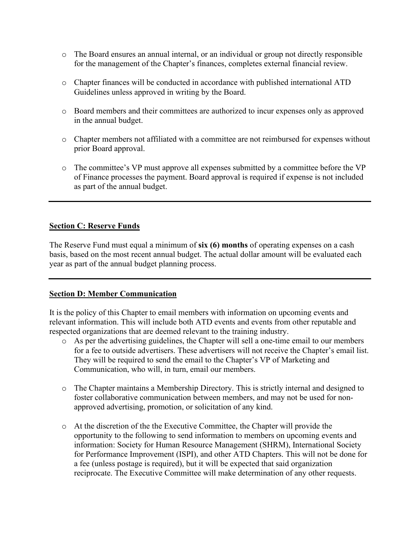- o The Board ensures an annual internal, or an individual or group not directly responsible for the management of the Chapter's finances, completes external financial review.
- o Chapter finances will be conducted in accordance with published international ATD Guidelines unless approved in writing by the Board.
- o Board members and their committees are authorized to incur expenses only as approved in the annual budget.
- o Chapter members not affiliated with a committee are not reimbursed for expenses without prior Board approval.
- o The committee's VP must approve all expenses submitted by a committee before the VP of Finance processes the payment. Board approval is required if expense is not included as part of the annual budget.

### **Section C: Reserve Funds**

The Reserve Fund must equal a minimum of **six (6) months** of operating expenses on a cash basis, based on the most recent annual budget. The actual dollar amount will be evaluated each year as part of the annual budget planning process.

#### **Section D: Member Communication**

It is the policy of this Chapter to email members with information on upcoming events and relevant information. This will include both ATD events and events from other reputable and respected organizations that are deemed relevant to the training industry.

- o As per the advertising guidelines, the Chapter will sell a one-time email to our members for a fee to outside advertisers. These advertisers will not receive the Chapter's email list. They will be required to send the email to the Chapter's VP of Marketing and Communication, who will, in turn, email our members.
- o The Chapter maintains a Membership Directory. This is strictly internal and designed to foster collaborative communication between members, and may not be used for nonapproved advertising, promotion, or solicitation of any kind.
- o At the discretion of the the Executive Committee, the Chapter will provide the opportunity to the following to send information to members on upcoming events and information: Society for Human Resource Management (SHRM), International Society for Performance Improvement (ISPI), and other ATD Chapters. This will not be done for a fee (unless postage is required), but it will be expected that said organization reciprocate. The Executive Committee will make determination of any other requests.